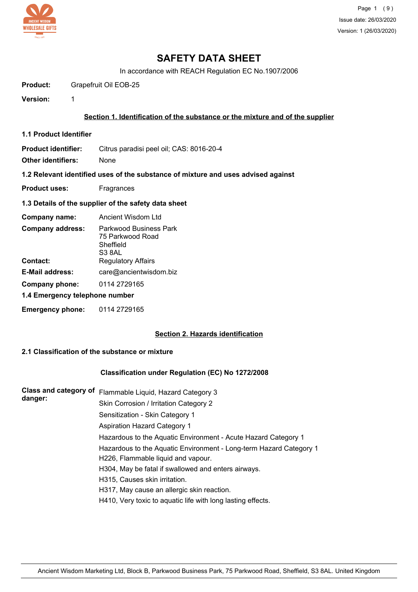

In accordance with REACH Regulation EC No.1907/2006

**Product:** Grapefruit Oil EOB-25

**Version:** 1

#### **Section 1. Identification of the substance or the mixture and of the supplier**

**1.1 Product Identifier**

**Product identifier:** Citrus paradisi peel oil; CAS: 8016-20-4

**Other identifiers:** None

**1.2 Relevant identified uses of the substance of mixture and uses advised against**

- **Product uses:** Fragrances
- **1.3 Details of the supplier of the safety data sheet**

| Company name:                       | Ancient Wisdom Ltd                                                                             |  |
|-------------------------------------|------------------------------------------------------------------------------------------------|--|
| <b>Company address:</b><br>Contact: | Parkwood Business Park<br>75 Parkwood Road<br>Sheffield<br>S3 8AL<br><b>Regulatory Affairs</b> |  |
| E-Mail address:                     | care@ancientwisdom.biz                                                                         |  |
| Company phone:                      | 0114 2729165                                                                                   |  |
| 1.4 Emergency telephone number      |                                                                                                |  |
| <b>Emergency phone:</b>             | 0114 2729165                                                                                   |  |

#### **Section 2. Hazards identification**

### **2.1 Classification of the substance or mixture**

#### **Classification under Regulation (EC) No 1272/2008**

| <b>Class and category of</b> | Flammable Liquid, Hazard Category 3                                |
|------------------------------|--------------------------------------------------------------------|
| danger:                      | Skin Corrosion / Irritation Category 2                             |
|                              | Sensitization - Skin Category 1                                    |
|                              | <b>Aspiration Hazard Category 1</b>                                |
|                              | Hazardous to the Aquatic Environment - Acute Hazard Category 1     |
|                              | Hazardous to the Aquatic Environment - Long-term Hazard Category 1 |
|                              | H226, Flammable liquid and vapour.                                 |
|                              | H304, May be fatal if swallowed and enters airways.                |
|                              | H315, Causes skin irritation.                                      |
|                              | H317, May cause an allergic skin reaction.                         |
|                              | H410, Very toxic to aquatic life with long lasting effects.        |
|                              |                                                                    |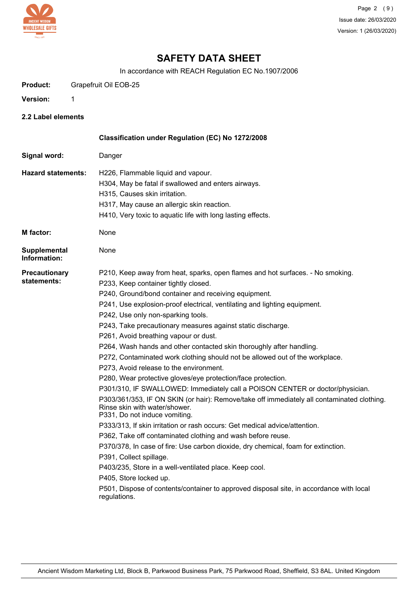

In accordance with REACH Regulation EC No.1907/2006

**Product:** Grapefruit Oil EOB-25

**Version:** 1

**2.2 Label elements**

|                                     | Classification under Regulation (EC) No 1272/2008                                                                                                                                                                                                                                                                                                                                                                                                                                                                                                                                                                                                                                                                                                                                                                                                                                                                                                                                                                                                                                                                                                                                                                                                                                                                                                                                         |
|-------------------------------------|-------------------------------------------------------------------------------------------------------------------------------------------------------------------------------------------------------------------------------------------------------------------------------------------------------------------------------------------------------------------------------------------------------------------------------------------------------------------------------------------------------------------------------------------------------------------------------------------------------------------------------------------------------------------------------------------------------------------------------------------------------------------------------------------------------------------------------------------------------------------------------------------------------------------------------------------------------------------------------------------------------------------------------------------------------------------------------------------------------------------------------------------------------------------------------------------------------------------------------------------------------------------------------------------------------------------------------------------------------------------------------------------|
| Signal word:                        | Danger                                                                                                                                                                                                                                                                                                                                                                                                                                                                                                                                                                                                                                                                                                                                                                                                                                                                                                                                                                                                                                                                                                                                                                                                                                                                                                                                                                                    |
| <b>Hazard statements:</b>           | H226, Flammable liquid and vapour.<br>H304, May be fatal if swallowed and enters airways.<br>H315, Causes skin irritation.<br>H317, May cause an allergic skin reaction.<br>H410, Very toxic to aquatic life with long lasting effects.                                                                                                                                                                                                                                                                                                                                                                                                                                                                                                                                                                                                                                                                                                                                                                                                                                                                                                                                                                                                                                                                                                                                                   |
| <b>M</b> factor:                    | None                                                                                                                                                                                                                                                                                                                                                                                                                                                                                                                                                                                                                                                                                                                                                                                                                                                                                                                                                                                                                                                                                                                                                                                                                                                                                                                                                                                      |
| Supplemental<br>Information:        | None                                                                                                                                                                                                                                                                                                                                                                                                                                                                                                                                                                                                                                                                                                                                                                                                                                                                                                                                                                                                                                                                                                                                                                                                                                                                                                                                                                                      |
| <b>Precautionary</b><br>statements: | P210, Keep away from heat, sparks, open flames and hot surfaces. - No smoking.<br>P233, Keep container tightly closed.<br>P240, Ground/bond container and receiving equipment.<br>P241, Use explosion-proof electrical, ventilating and lighting equipment.<br>P242, Use only non-sparking tools.<br>P243, Take precautionary measures against static discharge.<br>P261, Avoid breathing vapour or dust.<br>P264, Wash hands and other contacted skin thoroughly after handling.<br>P272, Contaminated work clothing should not be allowed out of the workplace.<br>P273, Avoid release to the environment.<br>P280, Wear protective gloves/eye protection/face protection.<br>P301/310, IF SWALLOWED: Immediately call a POISON CENTER or doctor/physician.<br>P303/361/353, IF ON SKIN (or hair): Remove/take off immediately all contaminated clothing.<br>Rinse skin with water/shower.<br>P331, Do not induce vomiting.<br>P333/313, If skin irritation or rash occurs: Get medical advice/attention.<br>P362, Take off contaminated clothing and wash before reuse.<br>P370/378, In case of fire: Use carbon dioxide, dry chemical, foam for extinction.<br>P391, Collect spillage.<br>P403/235, Store in a well-ventilated place. Keep cool.<br>P405, Store locked up.<br>P501, Dispose of contents/container to approved disposal site, in accordance with local<br>regulations. |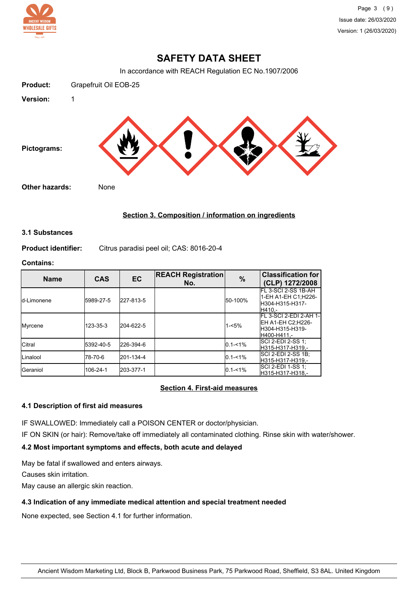

In accordance with REACH Regulation EC No.1907/2006



## **Section 3. Composition / information on ingredients**

#### **3.1 Substances**

**Product identifier:** Citrus paradisi peel oil; CAS: 8016-20-4

### **Contains:**

| <b>Name</b>       | <b>CAS</b> | <b>EC</b> | <b>REACH Registration</b><br>No. | $\%$        | <b>Classification for</b><br>(CLP) 1272/2008                                    |
|-------------------|------------|-----------|----------------------------------|-------------|---------------------------------------------------------------------------------|
| Id-Limonene       | 5989-27-5  | 227-813-5 |                                  | 50-100%     | FL 3-SCI 2-SS 1B-AH<br>1-EH A1-EH C1; H226-<br>H304-H315-H317-<br>H410 -        |
| Myrcene           | 123-35-3   | 204-622-5 |                                  | $1 - 5%$    | FL 3-SCI 2-EDI 2-AH 1-<br>EH A1-EH C2;H226-<br>IH304-H315-H319-<br>lH400-H411.- |
| <b>Citral</b>     | 5392-40-5  | 226-394-6 |                                  | $0.1 - 1\%$ | $\overline{\text{SCI}}$ 2-EDI 2-SS 1;<br>H315-H317-H319,-                       |
| <b>Linalool</b>   | 78-70-6    | 201-134-4 |                                  | $0.1 - 1\%$ | ISCI 2-EDI 2-SS 1B:<br>H315-H317-H319.-                                         |
| <b>I</b> Geraniol | 106-24-1   | 203-377-1 |                                  | $0.1 - 1\%$ | ISCI 2-EDI 1-SS 1:<br>H315-H317-H318.-                                          |

## **Section 4. First-aid measures**

#### **4.1 Description of first aid measures**

IF SWALLOWED: Immediately call a POISON CENTER or doctor/physician.

IF ON SKIN (or hair): Remove/take off immediately all contaminated clothing. Rinse skin with water/shower.

## **4.2 Most important symptoms and effects, both acute and delayed**

May be fatal if swallowed and enters airways.

Causes skin irritation.

May cause an allergic skin reaction.

## **4.3 Indication of any immediate medical attention and special treatment needed**

None expected, see Section 4.1 for further information.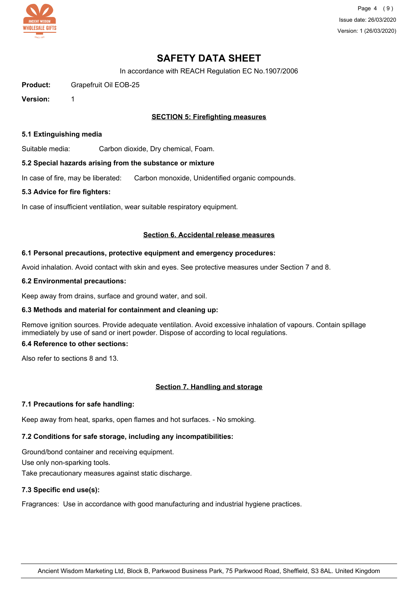

Page 4 (9) Issue date: 26/03/2020 Version: 1 (26/03/2020)

## **SAFETY DATA SHEET**

In accordance with REACH Regulation EC No.1907/2006

**Product:** Grapefruit Oil EOB-25

**Version:** 1

### **SECTION 5: Firefighting measures**

#### **5.1 Extinguishing media**

Suitable media: Carbon dioxide, Dry chemical, Foam.

#### **5.2 Special hazards arising from the substance or mixture**

In case of fire, may be liberated: Carbon monoxide, Unidentified organic compounds.

#### **5.3 Advice for fire fighters:**

In case of insufficient ventilation, wear suitable respiratory equipment.

#### **Section 6. Accidental release measures**

#### **6.1 Personal precautions, protective equipment and emergency procedures:**

Avoid inhalation. Avoid contact with skin and eyes. See protective measures under Section 7 and 8.

#### **6.2 Environmental precautions:**

Keep away from drains, surface and ground water, and soil.

#### **6.3 Methods and material for containment and cleaning up:**

Remove ignition sources. Provide adequate ventilation. Avoid excessive inhalation of vapours. Contain spillage immediately by use of sand or inert powder. Dispose of according to local regulations.

### **6.4 Reference to other sections:**

Also refer to sections 8 and 13.

#### **Section 7. Handling and storage**

#### **7.1 Precautions for safe handling:**

Keep away from heat, sparks, open flames and hot surfaces. - No smoking.

## **7.2 Conditions for safe storage, including any incompatibilities:**

Ground/bond container and receiving equipment. Use only non-sparking tools. Take precautionary measures against static discharge.

## **7.3 Specific end use(s):**

Fragrances: Use in accordance with good manufacturing and industrial hygiene practices.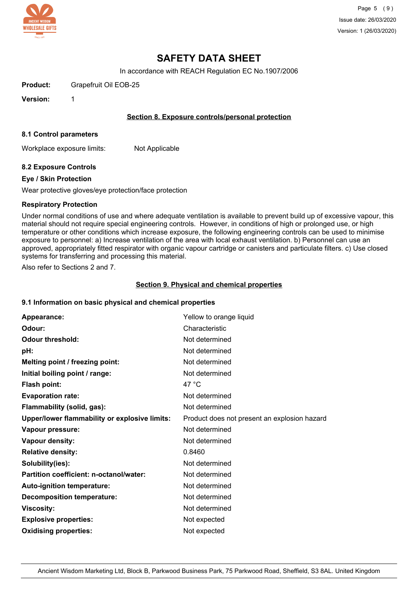

In accordance with REACH Regulation EC No.1907/2006

**Product:** Grapefruit Oil EOB-25

**Version:** 1

#### **Section 8. Exposure controls/personal protection**

#### **8.1 Control parameters**

Workplace exposure limits: Not Applicable

#### **8.2 Exposure Controls**

#### **Eye / Skin Protection**

Wear protective gloves/eye protection/face protection

#### **Respiratory Protection**

Under normal conditions of use and where adequate ventilation is available to prevent build up of excessive vapour, this material should not require special engineering controls. However, in conditions of high or prolonged use, or high temperature or other conditions which increase exposure, the following engineering controls can be used to minimise exposure to personnel: a) Increase ventilation of the area with local exhaust ventilation. b) Personnel can use an approved, appropriately fitted respirator with organic vapour cartridge or canisters and particulate filters. c) Use closed systems for transferring and processing this material.

Also refer to Sections 2 and 7.

#### **Section 9. Physical and chemical properties**

#### **9.1 Information on basic physical and chemical properties**

| Appearance:                                   | Yellow to orange liquid                      |
|-----------------------------------------------|----------------------------------------------|
| Odour:                                        | Characteristic                               |
| <b>Odour threshold:</b>                       | Not determined                               |
| pH:                                           | Not determined                               |
| Melting point / freezing point:               | Not determined                               |
| Initial boiling point / range:                | Not determined                               |
| Flash point:                                  | 47 $^{\circ}$ C                              |
| <b>Evaporation rate:</b>                      | Not determined                               |
| Flammability (solid, gas):                    | Not determined                               |
| Upper/lower flammability or explosive limits: | Product does not present an explosion hazard |
| Vapour pressure:                              | Not determined                               |
| Vapour density:                               | Not determined                               |
| <b>Relative density:</b>                      | 0.8460                                       |
| Solubility(ies):                              | Not determined                               |
| Partition coefficient: n-octanol/water:       | Not determined                               |
| Auto-ignition temperature:                    | Not determined                               |
| <b>Decomposition temperature:</b>             | Not determined                               |
| <b>Viscosity:</b>                             | Not determined                               |
| <b>Explosive properties:</b>                  | Not expected                                 |
| <b>Oxidising properties:</b>                  | Not expected                                 |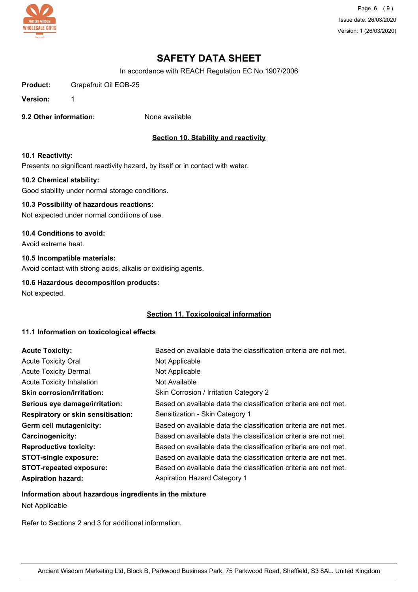

Page 6 (9) Issue date: 26/03/2020 Version: 1 (26/03/2020)

# **SAFETY DATA SHEET**

In accordance with REACH Regulation EC No.1907/2006

**Product:** Grapefruit Oil EOB-25

**Version:** 1

**9.2 Other information:** None available

### **Section 10. Stability and reactivity**

#### **10.1 Reactivity:**

Presents no significant reactivity hazard, by itself or in contact with water.

#### **10.2 Chemical stability:**

Good stability under normal storage conditions.

## **10.3 Possibility of hazardous reactions:**

Not expected under normal conditions of use.

#### **10.4 Conditions to avoid:**

Avoid extreme heat.

#### **10.5 Incompatible materials:**

Avoid contact with strong acids, alkalis or oxidising agents.

#### **10.6 Hazardous decomposition products:**

Not expected.

#### **Section 11. Toxicological information**

#### **11.1 Information on toxicological effects**

| <b>Acute Toxicity:</b>                    | Based on available data the classification criteria are not met. |
|-------------------------------------------|------------------------------------------------------------------|
| <b>Acute Toxicity Oral</b>                | Not Applicable                                                   |
| <b>Acute Toxicity Dermal</b>              | Not Applicable                                                   |
| <b>Acute Toxicity Inhalation</b>          | Not Available                                                    |
| <b>Skin corrosion/irritation:</b>         | Skin Corrosion / Irritation Category 2                           |
| Serious eye damage/irritation:            | Based on available data the classification criteria are not met. |
| <b>Respiratory or skin sensitisation:</b> | Sensitization - Skin Category 1                                  |
| Germ cell mutagenicity:                   | Based on available data the classification criteria are not met. |
| <b>Carcinogenicity:</b>                   | Based on available data the classification criteria are not met. |
| <b>Reproductive toxicity:</b>             | Based on available data the classification criteria are not met. |
| <b>STOT-single exposure:</b>              | Based on available data the classification criteria are not met. |
| <b>STOT-repeated exposure:</b>            | Based on available data the classification criteria are not met. |
| <b>Aspiration hazard:</b>                 | Aspiration Hazard Category 1                                     |

#### **Information about hazardous ingredients in the mixture**

Not Applicable

Refer to Sections 2 and 3 for additional information.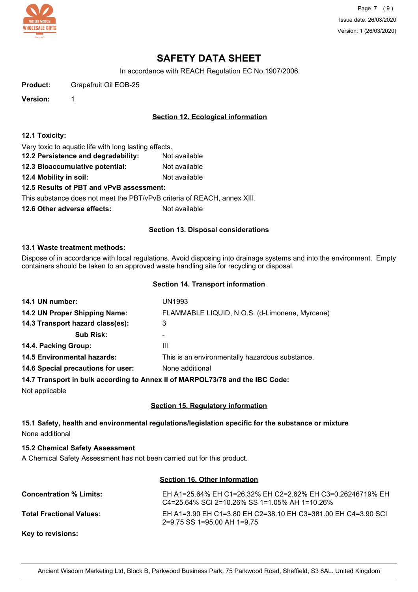

Page 7 (9) Issue date: 26/03/2020 Version: 1 (26/03/2020)

# **SAFETY DATA SHEET**

In accordance with REACH Regulation EC No.1907/2006

**Product:** Grapefruit Oil EOB-25

**Version:** 1

### **Section 12. Ecological information**

#### **12.1 Toxicity:**

Very toxic to aquatic life with long lasting effects.

- **12.2 Persistence and degradability:** Not available
- **12.3 Bioaccumulative potential:** Not available
- **12.4 Mobility in soil:** Not available

#### **12.5 Results of PBT and vPvB assessment:**

This substance does not meet the PBT/vPvB criteria of REACH, annex XIII.

**12.6 Other adverse effects:** Not available

#### **Section 13. Disposal considerations**

#### **13.1 Waste treatment methods:**

Dispose of in accordance with local regulations. Avoid disposing into drainage systems and into the environment. Empty containers should be taken to an approved waste handling site for recycling or disposal.

#### **Section 14. Transport information**

| 14.1 UN number:                    | UN1993                                                                          |
|------------------------------------|---------------------------------------------------------------------------------|
| 14.2 UN Proper Shipping Name:      | FLAMMABLE LIQUID, N.O.S. (d-Limonene, Myrcene)                                  |
| 14.3 Transport hazard class(es):   | 3                                                                               |
| <b>Sub Risk:</b>                   | ۰                                                                               |
| 14.4. Packing Group:               | Ш                                                                               |
| <b>14.5 Environmental hazards:</b> | This is an environmentally hazardous substance.                                 |
| 14.6 Special precautions for user: | None additional                                                                 |
|                                    | 44.7 Thomas and the best lead of the America Blad BBOL 70/70 and the IBO Order. |

#### **14.7 Transport in bulk according to Annex II of MARPOL73/78 and the IBC Code:**

Not applicable

#### **Section 15. Regulatory information**

### **15.1 Safety, health and environmental regulations/legislation specific for the substance or mixture** None additional

#### **15.2 Chemical Safety Assessment**

A Chemical Safety Assessment has not been carried out for this product.

#### **Section 16. Other information**

| <b>Concentration % Limits:</b>  | EH A1=25.64% EH C1=26.32% EH C2=2.62% EH C3=0.26246719% EH<br>$C4 = 25.64\%$ SCI 2=10.26% SS 1=1.05% AH 1=10.26% |
|---------------------------------|------------------------------------------------------------------------------------------------------------------|
| <b>Total Fractional Values:</b> | EH A1=3.90 EH C1=3.80 EH C2=38.10 EH C3=381.00 EH C4=3.90 SCL<br>$2=9.75$ SS 1=95.00 AH 1=9.75                   |
| Key to revisions:               |                                                                                                                  |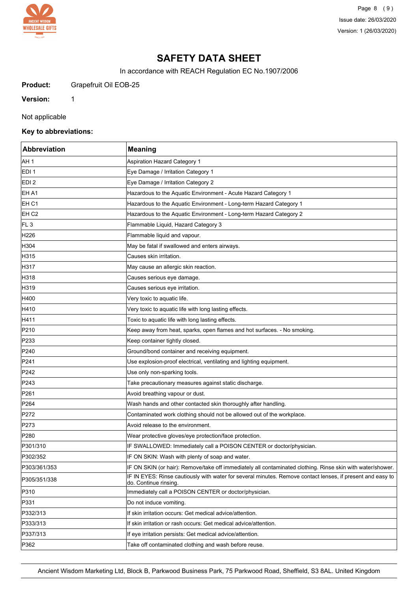

Page 8 (9) Issue date: 26/03/2020 Version: 1 (26/03/2020)

## **SAFETY DATA SHEET**

In accordance with REACH Regulation EC No.1907/2006

**Product:** Grapefruit Oil EOB-25

**Version:** 1

Not applicable

## **Key to abbreviations:**

| Abbreviation     | <b>Meaning</b>                                                                                                                      |
|------------------|-------------------------------------------------------------------------------------------------------------------------------------|
| AH 1             | Aspiration Hazard Category 1                                                                                                        |
| EDI <sub>1</sub> | Eye Damage / Irritation Category 1                                                                                                  |
| EDI 2            | Eye Damage / Irritation Category 2                                                                                                  |
| EH A1            | Hazardous to the Aquatic Environment - Acute Hazard Category 1                                                                      |
| EH <sub>C1</sub> | Hazardous to the Aquatic Environment - Long-term Hazard Category 1                                                                  |
| EH <sub>C2</sub> | Hazardous to the Aquatic Environment - Long-term Hazard Category 2                                                                  |
| FL <sub>3</sub>  | Flammable Liquid, Hazard Category 3                                                                                                 |
| H226             | Flammable liquid and vapour.                                                                                                        |
| H304             | May be fatal if swallowed and enters airways.                                                                                       |
| H315             | Causes skin irritation.                                                                                                             |
| H317             | May cause an allergic skin reaction.                                                                                                |
| H318             | Causes serious eye damage.                                                                                                          |
| H319             | Causes serious eye irritation.                                                                                                      |
| H400             | Very toxic to aquatic life.                                                                                                         |
| H410             | Very toxic to aquatic life with long lasting effects.                                                                               |
| H411             | Toxic to aquatic life with long lasting effects.                                                                                    |
| P210             | Keep away from heat, sparks, open flames and hot surfaces. - No smoking.                                                            |
| P233             | Keep container tightly closed.                                                                                                      |
| P240             | Ground/bond container and receiving equipment.                                                                                      |
| P241             | Use explosion-proof electrical, ventilating and lighting equipment.                                                                 |
| P242             | Use only non-sparking tools.                                                                                                        |
| P243             | Take precautionary measures against static discharge.                                                                               |
| P261             | Avoid breathing vapour or dust.                                                                                                     |
| P <sub>264</sub> | Wash hands and other contacted skin thoroughly after handling.                                                                      |
| P272             | Contaminated work clothing should not be allowed out of the workplace.                                                              |
| P273             | Avoid release to the environment.                                                                                                   |
| P280             | Wear protective gloves/eye protection/face protection.                                                                              |
| P301/310         | IF SWALLOWED: Immediately call a POISON CENTER or doctor/physician.                                                                 |
| P302/352         | IF ON SKIN: Wash with plenty of soap and water.                                                                                     |
| P303/361/353     | IF ON SKIN (or hair): Remove/take off immediately all contaminated clothing. Rinse skin with water/shower.                          |
| P305/351/338     | IF IN EYES: Rinse cautiously with water for several minutes. Remove contact lenses, if present and easy to<br>do. Continue rinsing. |
| P310             | Immediately call a POISON CENTER or doctor/physician.                                                                               |
| P331             | Do not induce vomiting.                                                                                                             |
| P332/313         | If skin irritation occurs: Get medical advice/attention.                                                                            |
| P333/313         | If skin irritation or rash occurs: Get medical advice/attention.                                                                    |
| P337/313         | If eye irritation persists: Get medical advice/attention.                                                                           |
| P362             | Take off contaminated clothing and wash before reuse.                                                                               |